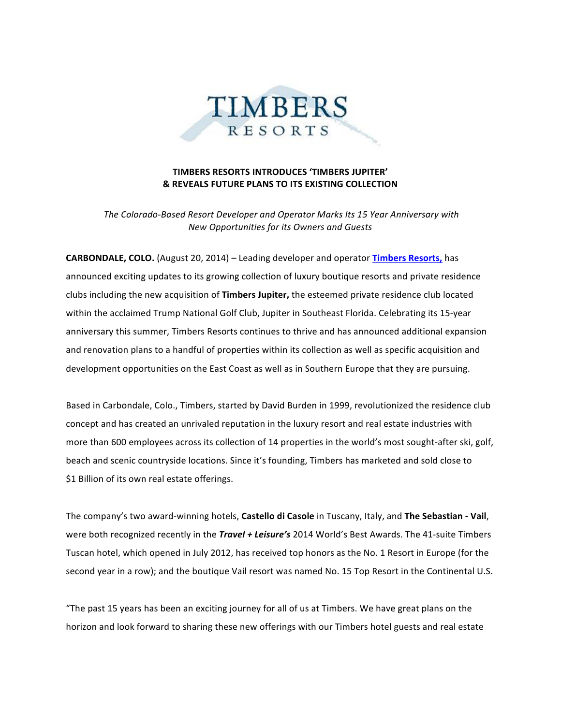

## **TIMBERS RESORTS INTRODUCES 'TIMBERS JUPITER' & REVEALS FUTURE PLANS TO ITS EXISTING COLLECTION**

*The Colorado-Based Resort Developer and Operator Marks Its 15 Year Anniversary with New Opportunities for its Owners and Guests*

**CARBONDALE, COLO.** (August 20, 2014) – Leading developer and operator Timbers Resorts, has announced exciting updates to its growing collection of luxury boutique resorts and private residence clubs including the new acquisition of **Timbers Jupiter**, the esteemed private residence club located within the acclaimed Trump National Golf Club, Jupiter in Southeast Florida. Celebrating its 15-year anniversary this summer, Timbers Resorts continues to thrive and has announced additional expansion and renovation plans to a handful of properties within its collection as well as specific acquisition and development opportunities on the East Coast as well as in Southern Europe that they are pursuing.

Based in Carbondale, Colo., Timbers, started by David Burden in 1999, revolutionized the residence club concept and has created an unrivaled reputation in the luxury resort and real estate industries with more than 600 employees across its collection of 14 properties in the world's most sought-after ski, golf, beach and scenic countryside locations. Since it's founding, Timbers has marketed and sold close to \$1 Billion of its own real estate offerings.

The company's two award-winning hotels, Castello di Casole in Tuscany, Italy, and The Sebastian - Vail, were both recognized recently in the *Travel + Leisure's* 2014 World's Best Awards. The 41-suite Timbers Tuscan hotel, which opened in July 2012, has received top honors as the No. 1 Resort in Europe (for the second year in a row); and the boutique Vail resort was named No. 15 Top Resort in the Continental U.S.

"The past 15 years has been an exciting journey for all of us at Timbers. We have great plans on the horizon and look forward to sharing these new offerings with our Timbers hotel guests and real estate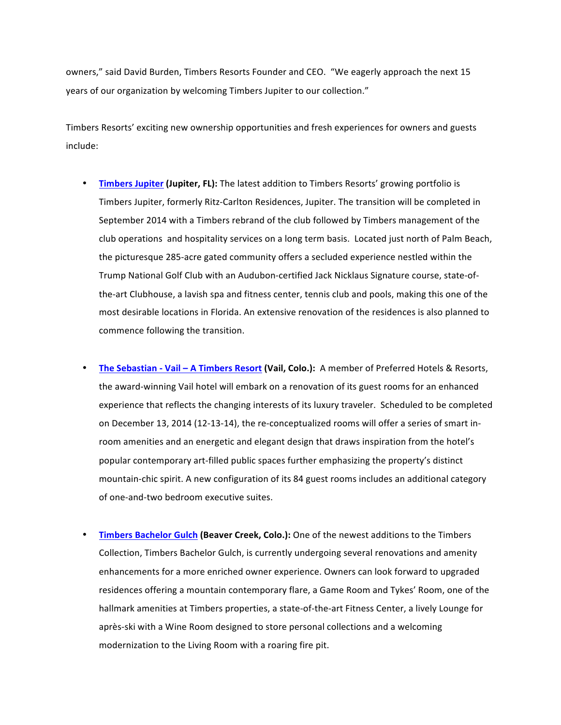owners," said David Burden, Timbers Resorts Founder and CEO. "We eagerly approach the next 15 years of our organization by welcoming Timbers Jupiter to our collection."

Timbers Resorts' exciting new ownership opportunities and fresh experiences for owners and guests include: 

- **Timbers Jupiter (Jupiter, FL):** The latest addition to Timbers Resorts' growing portfolio is Timbers Jupiter, formerly Ritz-Carlton Residences, Jupiter. The transition will be completed in September 2014 with a Timbers rebrand of the club followed by Timbers management of the club operations and hospitality services on a long term basis. Located just north of Palm Beach, the picturesque 285-acre gated community offers a secluded experience nestled within the Trump National Golf Club with an Audubon-certified Jack Nicklaus Signature course, state-ofthe-art Clubhouse, a lavish spa and fitness center, tennis club and pools, making this one of the most desirable locations in Florida. An extensive renovation of the residences is also planned to commence following the transition.
- The Sebastian Vail A Timbers Resort (Vail, Colo.): A member of Preferred Hotels & Resorts, the award-winning Vail hotel will embark on a renovation of its guest rooms for an enhanced experience that reflects the changing interests of its luxury traveler. Scheduled to be completed on December 13, 2014 (12-13-14), the re-conceptualized rooms will offer a series of smart inroom amenities and an energetic and elegant design that draws inspiration from the hotel's popular contemporary art-filled public spaces further emphasizing the property's distinct mountain-chic spirit. A new configuration of its 84 guest rooms includes an additional category of one-and-two bedroom executive suites.
- **Timbers Bachelor Gulch (Beaver Creek, Colo.):** One of the newest additions to the Timbers Collection, Timbers Bachelor Gulch, is currently undergoing several renovations and amenity enhancements for a more enriched owner experience. Owners can look forward to upgraded residences offering a mountain contemporary flare, a Game Room and Tykes' Room, one of the hallmark amenities at Timbers properties, a state-of-the-art Fitness Center, a lively Lounge for après-ski with a Wine Room designed to store personal collections and a welcoming modernization to the Living Room with a roaring fire pit.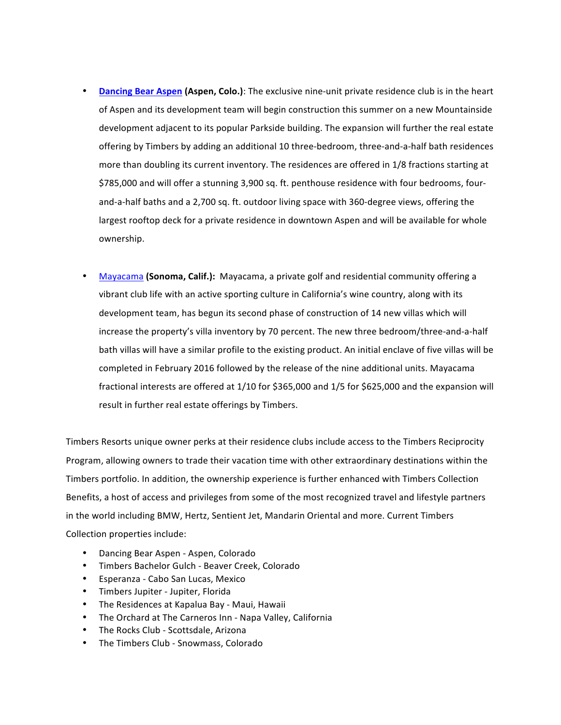- **Dancing Bear Aspen (Aspen, Colo.):** The exclusive nine-unit private residence club is in the heart of Aspen and its development team will begin construction this summer on a new Mountainside development adjacent to its popular Parkside building. The expansion will further the real estate offering by Timbers by adding an additional 10 three-bedroom, three-and-a-half bath residences more than doubling its current inventory. The residences are offered in 1/8 fractions starting at \$785,000 and will offer a stunning 3,900 sq. ft. penthouse residence with four bedrooms, fourand-a-half baths and a 2,700 sq. ft. outdoor living space with 360-degree views, offering the largest rooftop deck for a private residence in downtown Aspen and will be available for whole ownership.
- Mayacama (Sonoma, Calif.): Mayacama, a private golf and residential community offering a vibrant club life with an active sporting culture in California's wine country, along with its development team, has begun its second phase of construction of 14 new villas which will increase the property's villa inventory by 70 percent. The new three bedroom/three-and-a-half bath villas will have a similar profile to the existing product. An initial enclave of five villas will be completed in February 2016 followed by the release of the nine additional units. Mayacama fractional interests are offered at 1/10 for \$365,000 and 1/5 for \$625,000 and the expansion will result in further real estate offerings by Timbers.

Timbers Resorts unique owner perks at their residence clubs include access to the Timbers Reciprocity Program, allowing owners to trade their vacation time with other extraordinary destinations within the Timbers portfolio. In addition, the ownership experience is further enhanced with Timbers Collection Benefits, a host of access and privileges from some of the most recognized travel and lifestyle partners in the world including BMW, Hertz, Sentient Jet, Mandarin Oriental and more. Current Timbers Collection properties include:

- Dancing Bear Aspen Aspen, Colorado
- Timbers Bachelor Gulch - Beaver Creek, Colorado
- Esperanza Cabo San Lucas, Mexico
- Timbers Jupiter Jupiter, Florida
- The Residences at Kapalua Bay Maui, Hawaii
- The Orchard at The Carneros Inn Napa Valley, California
- The Rocks Club Scottsdale, Arizona
- The Timbers Club Snowmass, Colorado